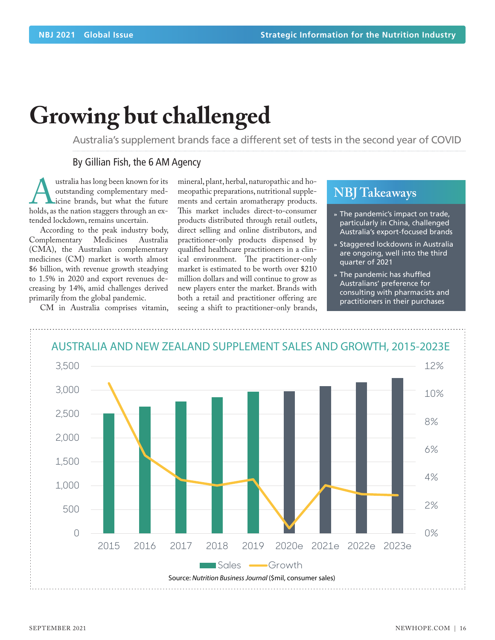# **Growing but challenged**

Australia's supplement brands face a different set of tests in the second year of COVID

### By Gillian Fish, the 6 AM Agency

**Australia has long been known for its**<br>
outstanding complementary med-<br>
icine brands, but what the future<br>
holds, as the nation staggers through an exoutstanding complementary medicine brands, but what the future tended lockdown, remains uncertain.

According to the peak industry body,<br>mplementary Medicines Australia Complementary Medicines (CMA), the Australian complementary medicines (CM) market is worth almost \$6 billion, with revenue growth steadying to 1.5% in 2020 and export revenues decreasing by 14%, amid challenges derived primarily from the global pandemic.

CM in Australia comprises vitamin,

mineral, plant, herbal, naturopathic and homeopathic preparations, nutritional supplements and certain aromatherapy products. This market includes direct-to-consumer products distributed through retail outlets, direct selling and online distributors, and practitioner-only products dispensed by qualified healthcare practitioners in a clinical environment. The practitioner-only market is estimated to be worth over \$210 million dollars and will continue to grow as new players enter the market. Brands with both a retail and practitioner offering are seeing a shift to practitioner-only brands,

## **NBJ Takeaways**

- **»** The pandemic's impact on trade, particularly in China, challenged Australia's export-focused brands
- **»** Staggered lockdowns in Australia are ongoing, well into the third quarter of 2021
- **»** The pandemic has shuffled Australians' preference for consulting with pharmacists and practitioners in their purchases

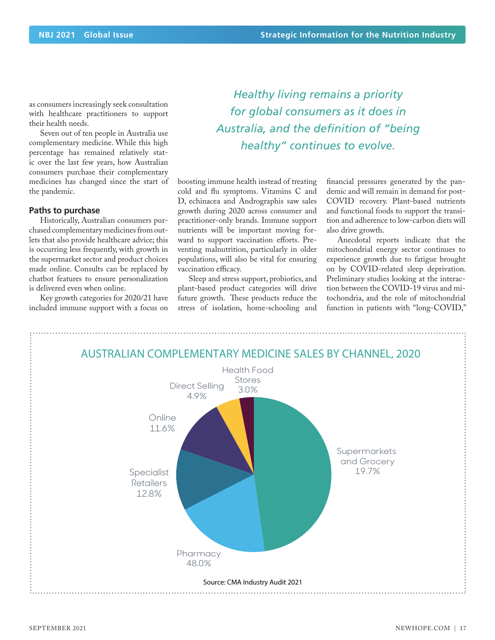as consumers increasingly seek consultation with healthcare practitioners to support their health needs.

Seven out of ten people in Australia use complementary medicine. While this high percentage has remained relatively static over the last few years, how Australian consumers purchase their complementary medicines has changed since the start of the pandemic.

#### **Paths to purchase**

Historically, Australian consumers purchased complementary medicines from outlets that also provide healthcare advice; this is occurring less frequently, with growth in the supermarket sector and product choices made online. Consults can be replaced by chatbot features to ensure personalization is delivered even when online.

Key growth categories for 2020/21 have included immune support with a focus on

*Healthy living remains a priority for global consumers as it does in Australia, and the definition of "being healthy" continues to evolve.* 

boosting immune health instead of treating cold and flu symptoms. Vitamins C and D, echinacea and Andrographis saw sales growth during 2020 across consumer and practitioner-only brands. Immune support nutrients will be important moving forward to support vaccination efforts. Preventing malnutrition, particularly in older populations, will also be vital for ensuring vaccination efficacy.

Sleep and stress support, probiotics, and plant-based product categories will drive future growth. These products reduce the stress of isolation, home-schooling and financial pressures generated by the pandemic and will remain in demand for post-COVID recovery. Plant-based nutrients and functional foods to support the transition and adherence to low-carbon diets will also drive growth.

Anecdotal reports indicate that the mitochondrial energy sector continues to experience growth due to fatigue brought on by COVID-related sleep deprivation. Preliminary studies looking at the interaction between the COVID-19 virus and mitochondria, and the role of mitochondrial function in patients with "long-COVID,"